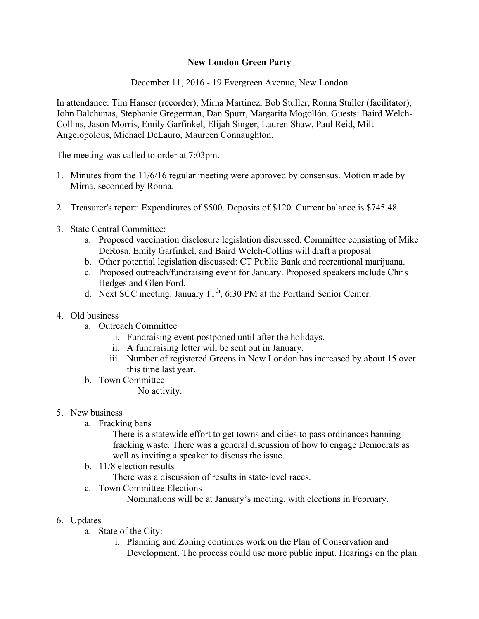## **New London Green Party**

December 11, 2016 - 19 Evergreen Avenue, New London

In attendance: Tim Hanser (recorder), Mirna Martinez, Bob Stuller, Ronna Stuller (facilitator), John Balchunas, Stephanie Gregerman, Dan Spurr, Margarita Mogollón. Guests: Baird Welch-Collins, Jason Morris, Emily Garfinkel, Elijah Singer, Lauren Shaw, Paul Reid, Milt Angelopolous, Michael DeLauro, Maureen Connaughton.

The meeting was called to order at 7:03pm.

- 1. Minutes from the 11/6/16 regular meeting were approved by consensus. Motion made by Mirna, seconded by Ronna.
- 2. Treasurer's report: Expenditures of \$500. Deposits of \$120. Current balance is \$745.48.
- 3. State Central Committee:
	- a. Proposed vaccination disclosure legislation discussed. Committee consisting of Mike DeRosa, Emily Garfinkel, and Baird Welch-Collins will draft a proposal
	- b. Other potential legislation discussed: CT Public Bank and recreational marijuana.
	- c. Proposed outreach/fundraising event for January. Proposed speakers include Chris Hedges and Glen Ford.
	- d. Next SCC meeting: January  $11^{th}$ , 6:30 PM at the Portland Senior Center.
- 4. Old business
	- a. Outreach Committee
		- i. Fundraising event postponed until after the holidays.
		- ii. A fundraising letter will be sent out in January.
		- iii. Number of registered Greens in New London has increased by about 15 over this time last year.
	- b. Town Committee

No activity.

- 5. New business
	- a. Fracking bans

There is a statewide effort to get towns and cities to pass ordinances banning fracking waste. There was a general discussion of how to engage Democrats as well as inviting a speaker to discuss the issue.

b. 11/8 election results

There was a discussion of results in state-level races.

c. Town Committee Elections

Nominations will be at January's meeting, with elections in February.

- 6. Updates
	- a. State of the City:
		- i. Planning and Zoning continues work on the Plan of Conservation and Development. The process could use more public input. Hearings on the plan